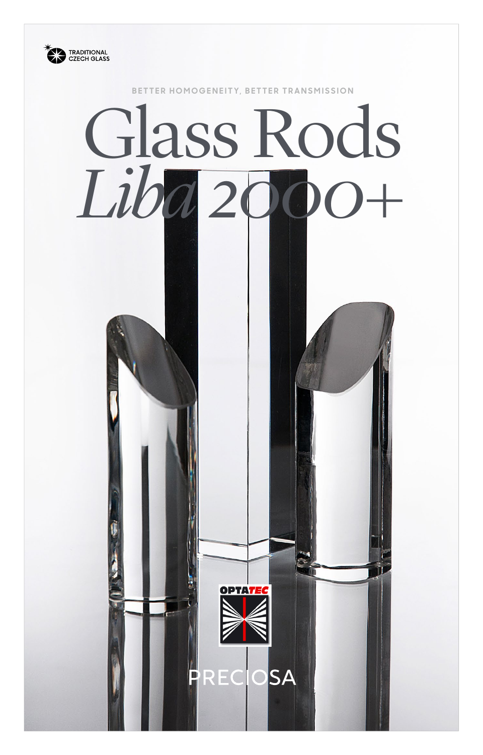

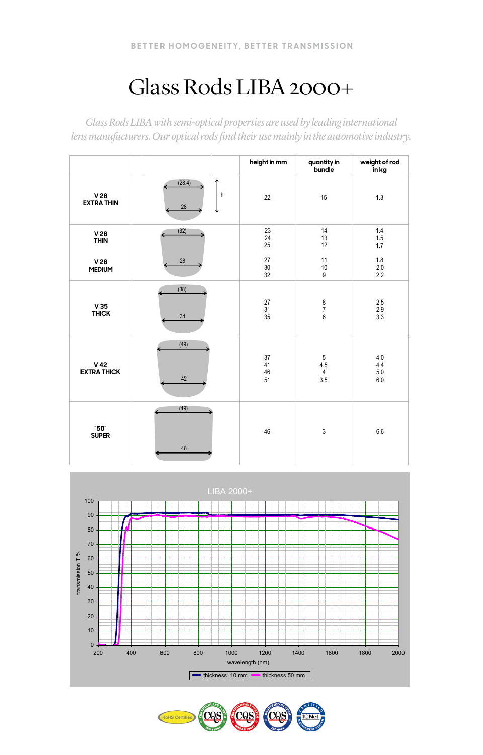## Glass Rods LIBA 2000+

*Glass Rods LIBA with semi-optical properties are used by leading international lens manufacturers. Our optical rods find their use mainly in the automotive industry.*

|                                       |                        | height in mm         | quantity in<br>bundle                                            | weight of rod<br>in kg       |
|---------------------------------------|------------------------|----------------------|------------------------------------------------------------------|------------------------------|
| V <sub>28</sub><br><b>EXTRA THIN</b>  | ሳ<br>(28.4)<br>h<br>28 | 22                   | 15                                                               | 1.3                          |
| $V28$<br>THIN                         | (32)                   | 23<br>24<br>25       | 14<br>13<br>12                                                   | 1.4<br>1.5<br>1.7            |
| V28<br><b>MEDIUM</b>                  | 28                     | 27<br>30<br>32       | 11<br>10<br>9                                                    | 1.8<br>$2.0\,$<br>2.2        |
| V35<br><b>THICK</b>                   | (38)<br>34             | 27<br>31<br>35       | $\begin{array}{c} 8 \\ 7 \end{array}$<br>$\boldsymbol{6}$        | 2.5<br>2.9<br>3.3            |
| V <sub>42</sub><br><b>EXTRA THICK</b> | (49)<br>42             | 37<br>41<br>46<br>51 | $\begin{array}{c} 5 \\ 4.5 \end{array}$<br>$\overline{4}$<br>3.5 | 4.0<br>4.4<br>$5.0\,$<br>6.0 |
| "50"<br><b>SUPER</b>                  | (49)<br>48             | 46                   | $\ensuremath{\mathsf{3}}$                                        | 6.6                          |



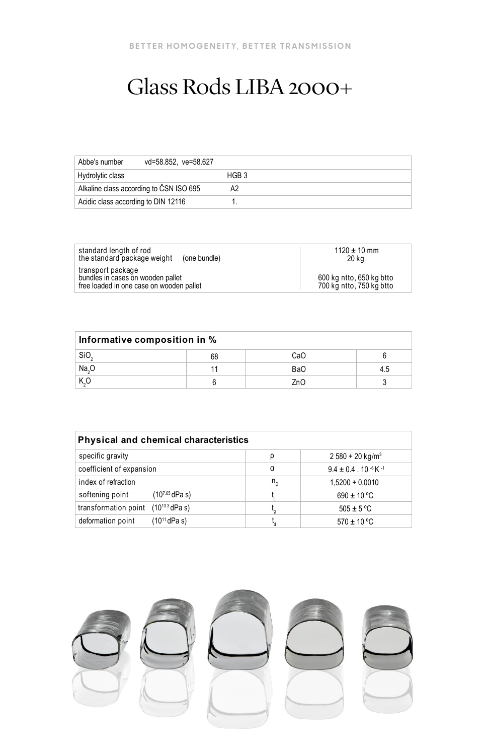## Glass Rods LIBA 2000+

| Abbe's number<br>vd=58.852, ve=58.627   |       |
|-----------------------------------------|-------|
| Hydrolytic class                        | HGB 3 |
| Alkaline class according to CSN ISO 695 | A2    |
| Acidic class according to DIN 12116     |       |

| standard length of rod<br>the standard package weight<br>(one bundle)                              | $1120 \pm 10$ mm<br>20 ka                            |
|----------------------------------------------------------------------------------------------------|------------------------------------------------------|
| transport package<br>bundles in cases on wooden pallet<br>free loaded in one case on wooden pallet | 600 kg ntto, 650 kg btto<br>700 kg ntto, 750 kg btto |

| Informative composition in %             |    |     |     |  |  |
|------------------------------------------|----|-----|-----|--|--|
|                                          | 68 | CaO |     |  |  |
| $rac{\text{SiO}_2}{\text{Na}_2\text{O}}$ |    | BaO | 4.5 |  |  |
| K, O                                     |    | ZnO |     |  |  |

| <b>Physical and chemical characteristics</b>  |              |                                                                |  |  |  |
|-----------------------------------------------|--------------|----------------------------------------------------------------|--|--|--|
| specific gravity                              | ρ            | $2580 + 20$ kg/m <sup>3</sup>                                  |  |  |  |
| coefficient of expansion                      | α            | $9.4 \pm 0.4$ . 10 $\cdot$ <sup>6</sup> K $\cdot$ <sup>1</sup> |  |  |  |
| index of refraction                           | $n_{\rm{D}}$ | $1,5200 + 0,0010$                                              |  |  |  |
| softening point<br>(10 <sup>7.65</sup> dPa s) |              | $690 \pm 10$ °C                                                |  |  |  |
| $(10^{13.3}$ dPa s)<br>transformation point   |              | $505 \pm 5$ °C                                                 |  |  |  |
| (10 <sup>11</sup> dPa s)<br>deformation point |              | $570 \pm 10$ °C                                                |  |  |  |